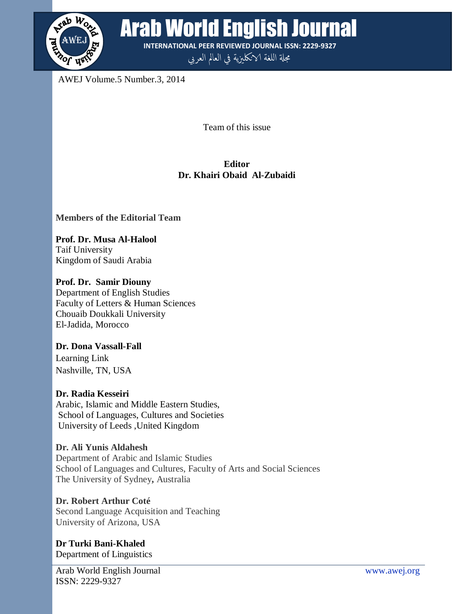

**READ WORLD English Journal** 

**INTERNATIONAL PEER REVIEWED JOURNAL ISSN: 2229-9327**

مجلة اللغة الانكليزية في العالم العربي

AWEJ Volume.5 Number.3, 2014

Team of this issue

# **Editor Dr. Khairi Obaid Al-Zubaidi**

# **Members of the Editorial Team**

**Prof. Dr. Musa Al-Halool** Taif University Kingdom of Saudi Arabia

**Prof. Dr. Samir Diouny** Department of English Studies Faculty of Letters & Human Sciences Chouaib Doukkali University El-Jadida, Morocco

**Dr. Dona Vassall-Fall** Learning Link Nashville, TN, USA

# **Dr. Radia Kesseiri**

Arabic, Islamic and Middle Eastern Studies, School of Languages, Cultures and Societies University of Leeds ,United Kingdom

**Dr. Ali Yunis Aldahesh** Department of Arabic and Islamic Studies School of Languages and Cultures, Faculty of Arts and Social Sciences The University of Sydney**,** Australia

**Dr. Robert Arthur Coté** Second Language Acquisition and Teaching University of Arizona, USA

**Dr Turki Bani-Khaled** Department of Linguistics

Arab World English Journal www.awej.org ISSN: 2229-9327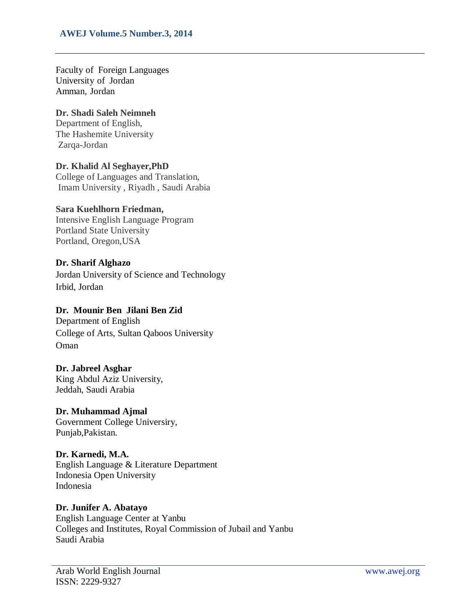#### **AWEJ Volume.5 Number.3, 2014**

Faculty of Foreign Languages University of Jordan Amman, Jordan

### **Dr. Shadi Saleh Neimneh**

Department of English, The Hashemite University Zarqa-Jordan

## **Dr. Khalid Al Seghayer,PhD**

College of Languages and Translation, Imam University , Riyadh , Saudi Arabia

## **Sara Kuehlhorn Friedman,**

Intensive English Language Program Portland State University Portland, Oregon,USA

## **Dr. Sharif Alghazo**

Jordan University of Science and Technology Irbid, Jordan

## **Dr. Mounir Ben Jilani Ben Zid**

Department of English College of Arts, Sultan Qaboos University Oman

#### **Dr. Jabreel Asghar**

King Abdul Aziz University, Jeddah, Saudi Arabia

#### **Dr. Muhammad Ajmal**

Government College Universiry, Punjab,Pakistan.

#### **Dr. Karnedi, M.A.**

English Language & Literature Department Indonesia Open University Indonesia

# **Dr. Junifer A. Abatayo**

English Language Center at Yanbu Colleges and Institutes, Royal Commission of Jubail and Yanbu Saudi Arabia